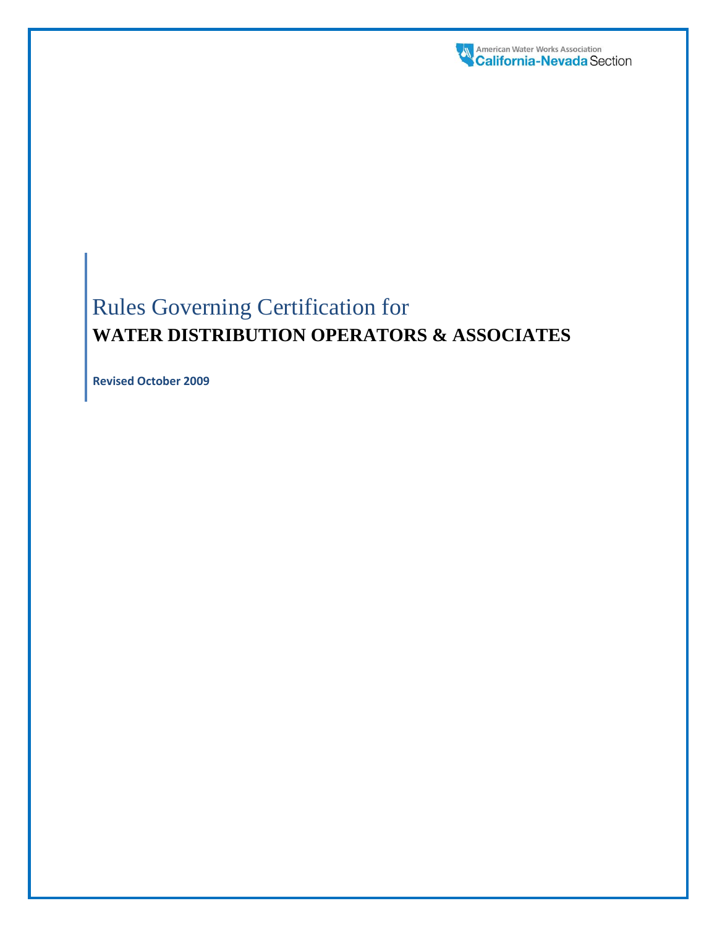

# Rules Governing Certification for **WATER DISTRIBUTION OPERATORS & ASSOCIATES**

**Revised October 2009**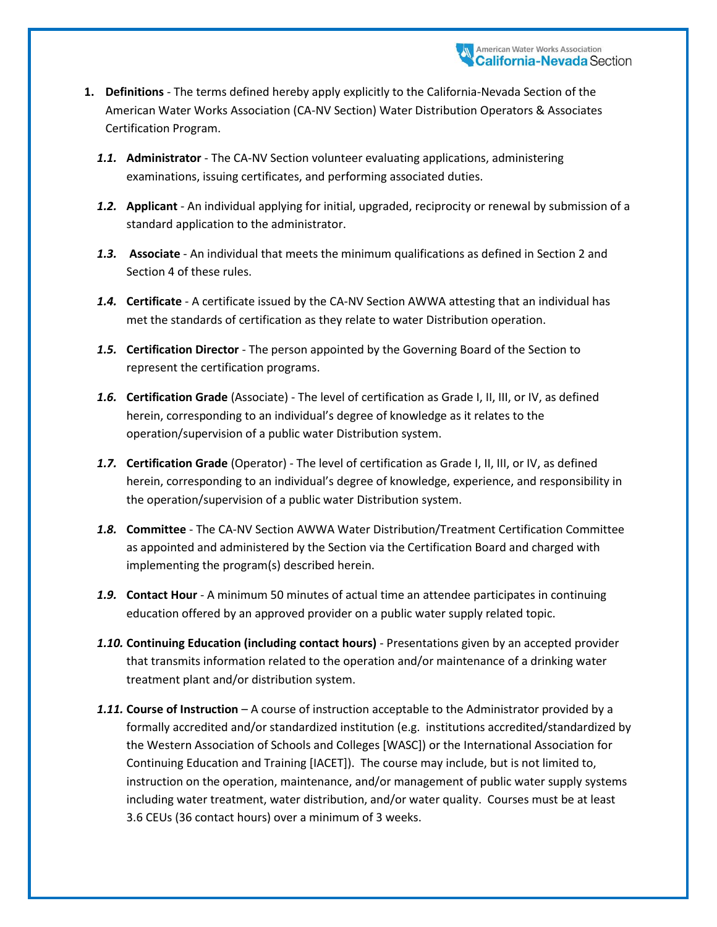- **1. Definitions** The terms defined hereby apply explicitly to the California-Nevada Section of the American Water Works Association (CA-NV Section) Water Distribution Operators & Associates Certification Program.
	- *1.1.* **Administrator**  The CA-NV Section volunteer evaluating applications, administering examinations, issuing certificates, and performing associated duties.
	- *1.2.* **Applicant** An individual applying for initial, upgraded, reciprocity or renewal by submission of a standard application to the administrator.
	- *1.3.* **Associate**  An individual that meets the minimum qualifications as defined in Section 2 and Section 4 of these rules.
	- *1.4.* **Certificate** A certificate issued by the CA-NV Section AWWA attesting that an individual has met the standards of certification as they relate to water Distribution operation.
	- *1.5.* **Certification Director** The person appointed by the Governing Board of the Section to represent the certification programs.
	- *1.6.* **Certification Grade** (Associate) The level of certification as Grade I, II, III, or IV, as defined herein, corresponding to an individual's degree of knowledge as it relates to the operation/supervision of a public water Distribution system.
	- *1.7.* **Certification Grade** (Operator) The level of certification as Grade I, II, III, or IV, as defined herein, corresponding to an individual's degree of knowledge, experience, and responsibility in the operation/supervision of a public water Distribution system.
	- *1.8.* **Committee** The CA-NV Section AWWA Water Distribution/Treatment Certification Committee as appointed and administered by the Section via the Certification Board and charged with implementing the program(s) described herein.
	- *1.9.* **Contact Hour** A minimum 50 minutes of actual time an attendee participates in continuing education offered by an approved provider on a public water supply related topic.
	- *1.10.* **Continuing Education (including contact hours)** Presentations given by an accepted provider that transmits information related to the operation and/or maintenance of a drinking water treatment plant and/or distribution system.
	- *1.11.* **Course of Instruction** A course of instruction acceptable to the Administrator provided by a formally accredited and/or standardized institution (e.g. institutions accredited/standardized by the Western Association of Schools and Colleges [WASC]) or the International Association for Continuing Education and Training [IACET]). The course may include, but is not limited to, instruction on the operation, maintenance, and/or management of public water supply systems including water treatment, water distribution, and/or water quality. Courses must be at least 3.6 CEUs (36 contact hours) over a minimum of 3 weeks.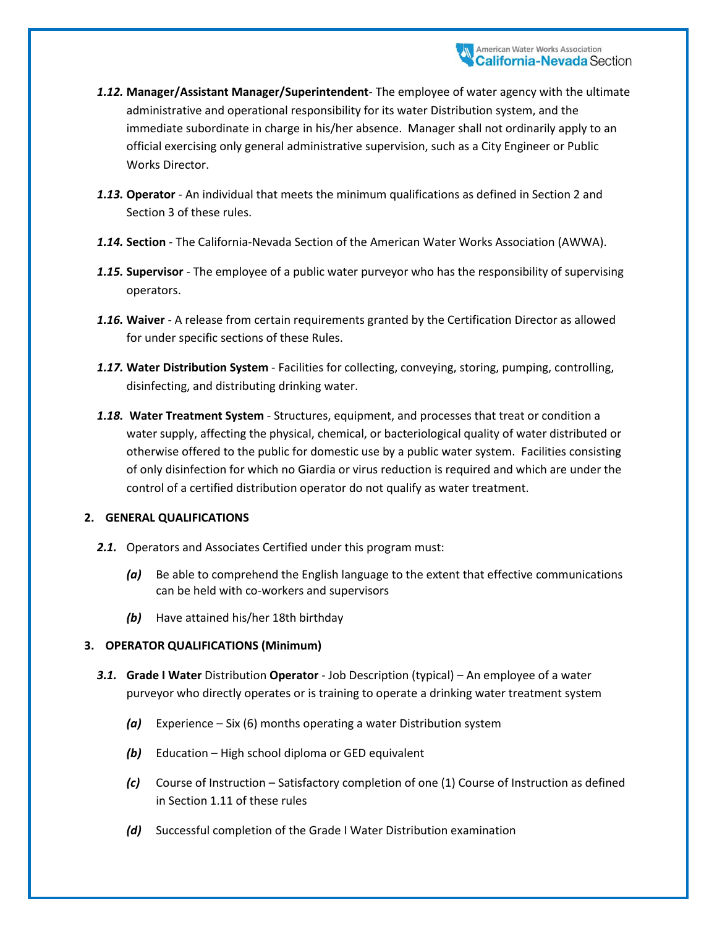- *1.12.* **Manager/Assistant Manager/Superintendent** The employee of water agency with the ultimate administrative and operational responsibility for its water Distribution system, and the immediate subordinate in charge in his/her absence. Manager shall not ordinarily apply to an official exercising only general administrative supervision, such as a City Engineer or Public Works Director.
- *1.13.* **Operator** An individual that meets the minimum qualifications as defined in Section 2 and Section 3 of these rules.
- *1.14.* **Section** The California-Nevada Section of the American Water Works Association (AWWA).
- *1.15.* **Supervisor** The employee of a public water purveyor who has the responsibility of supervising operators.
- *1.16.* **Waiver** A release from certain requirements granted by the Certification Director as allowed for under specific sections of these Rules.
- *1.17.* **Water Distribution System** Facilities for collecting, conveying, storing, pumping, controlling, disinfecting, and distributing drinking water.
- *1.18.* **Water Treatment System** Structures, equipment, and processes that treat or condition a water supply, affecting the physical, chemical, or bacteriological quality of water distributed or otherwise offered to the public for domestic use by a public water system. Facilities consisting of only disinfection for which no Giardia or virus reduction is required and which are under the control of a certified distribution operator do not qualify as water treatment.

## **2. GENERAL QUALIFICATIONS**

- *2.1.* Operators and Associates Certified under this program must:
	- *(a)* Be able to comprehend the English language to the extent that effective communications can be held with co-workers and supervisors
	- *(b)* Have attained his/her 18th birthday

## **3. OPERATOR QUALIFICATIONS (Minimum)**

- *3.1.* **Grade I Water** Distribution **Operator** Job Description (typical) An employee of a water purveyor who directly operates or is training to operate a drinking water treatment system
	- *(a)* Experience Six (6) months operating a water Distribution system
	- *(b)* Education High school diploma or GED equivalent
	- *(c)* Course of Instruction Satisfactory completion of one (1) Course of Instruction as defined in Section 1.11 of these rules
	- *(d)* Successful completion of the Grade I Water Distribution examination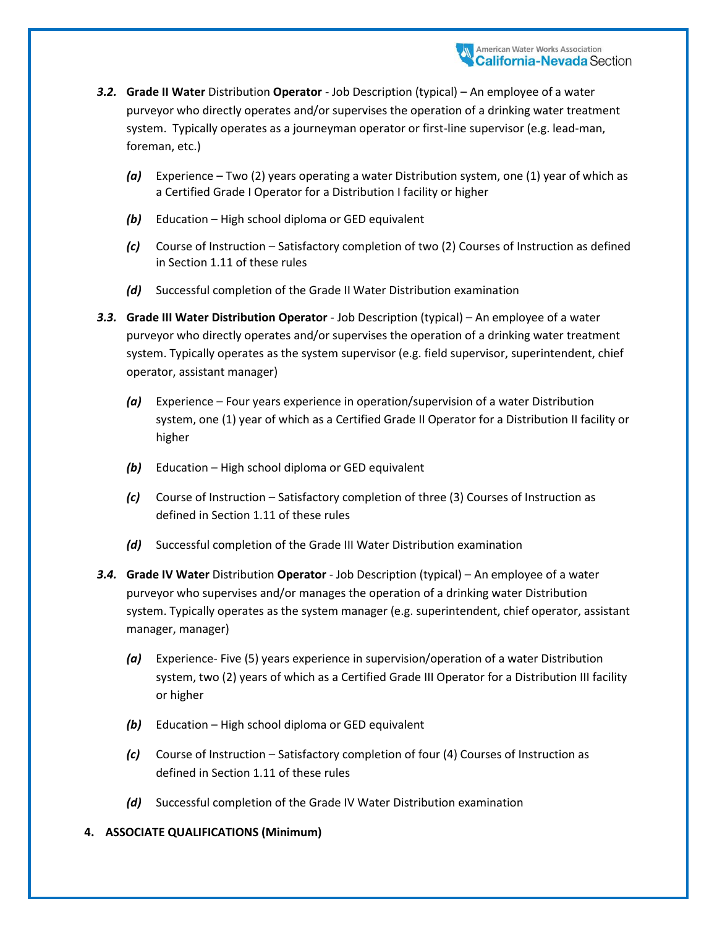- *3.2.* **Grade II Water** Distribution **Operator** Job Description (typical) An employee of a water purveyor who directly operates and/or supervises the operation of a drinking water treatment system. Typically operates as a journeyman operator or first-line supervisor (e.g. lead-man, foreman, etc.)
	- *(a)* Experience Two (2) years operating a water Distribution system, one (1) year of which as a Certified Grade I Operator for a Distribution I facility or higher
	- *(b)* Education High school diploma or GED equivalent
	- *(c)* Course of Instruction Satisfactory completion of two (2) Courses of Instruction as defined in Section 1.11 of these rules
	- *(d)* Successful completion of the Grade II Water Distribution examination
- *3.3.* **Grade III Water Distribution Operator** Job Description (typical) An employee of a water purveyor who directly operates and/or supervises the operation of a drinking water treatment system. Typically operates as the system supervisor (e.g. field supervisor, superintendent, chief operator, assistant manager)
	- *(a)* Experience Four years experience in operation/supervision of a water Distribution system, one (1) year of which as a Certified Grade II Operator for a Distribution II facility or higher
	- *(b)* Education High school diploma or GED equivalent
	- *(c)* Course of Instruction Satisfactory completion of three (3) Courses of Instruction as defined in Section 1.11 of these rules
	- *(d)* Successful completion of the Grade III Water Distribution examination
- *3.4.* **Grade IV Water** Distribution **Operator** Job Description (typical) An employee of a water purveyor who supervises and/or manages the operation of a drinking water Distribution system. Typically operates as the system manager (e.g. superintendent, chief operator, assistant manager, manager)
	- *(a)* Experience- Five (5) years experience in supervision/operation of a water Distribution system, two (2) years of which as a Certified Grade III Operator for a Distribution III facility or higher
	- *(b)* Education High school diploma or GED equivalent
	- *(c)* Course of Instruction Satisfactory completion of four (4) Courses of Instruction as defined in Section 1.11 of these rules
	- *(d)* Successful completion of the Grade IV Water Distribution examination

#### **4. ASSOCIATE QUALIFICATIONS (Minimum)**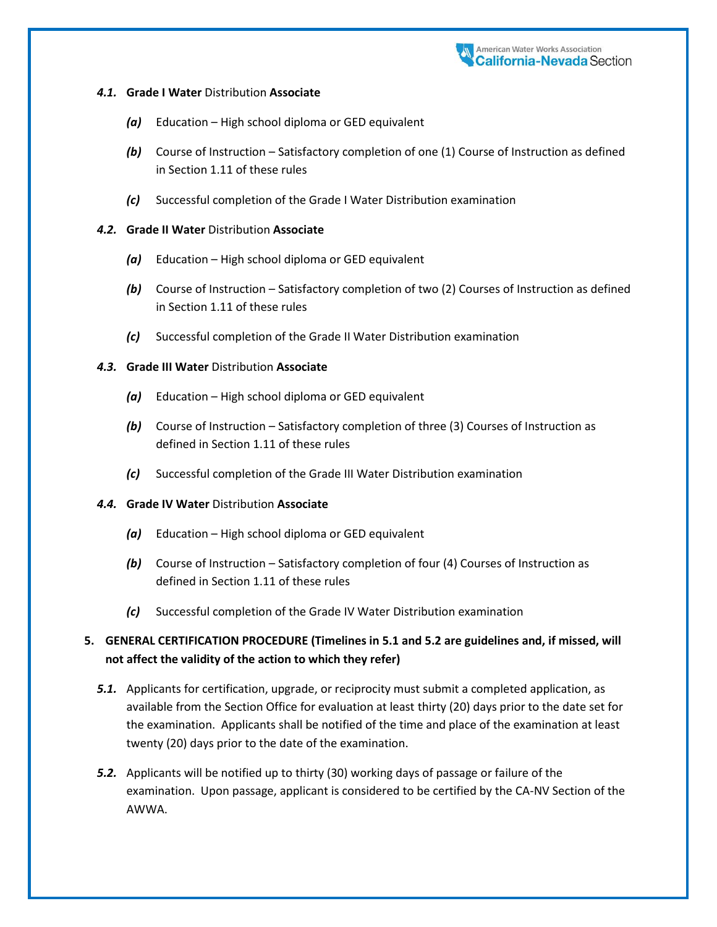#### *4.1.* **Grade I Water** Distribution **Associate**

- *(a)* Education High school diploma or GED equivalent
- *(b)* Course of Instruction Satisfactory completion of one (1) Course of Instruction as defined in Section 1.11 of these rules
- *(c)* Successful completion of the Grade I Water Distribution examination

#### *4.2.* **Grade II Water** Distribution **Associate**

- *(a)* Education High school diploma or GED equivalent
- *(b)* Course of Instruction Satisfactory completion of two (2) Courses of Instruction as defined in Section 1.11 of these rules
- *(c)* Successful completion of the Grade II Water Distribution examination

### *4.3.* **Grade III Water** Distribution **Associate**

- *(a)* Education High school diploma or GED equivalent
- *(b)* Course of Instruction Satisfactory completion of three (3) Courses of Instruction as defined in Section 1.11 of these rules
- *(c)* Successful completion of the Grade III Water Distribution examination

#### *4.4.* **Grade IV Water** Distribution **Associate**

- *(a)* Education High school diploma or GED equivalent
- *(b)* Course of Instruction Satisfactory completion of four (4) Courses of Instruction as defined in Section 1.11 of these rules
- *(c)* Successful completion of the Grade IV Water Distribution examination

## **5. GENERAL CERTIFICATION PROCEDURE (Timelines in 5.1 and 5.2 are guidelines and, if missed, will not affect the validity of the action to which they refer)**

- *5.1.* Applicants for certification, upgrade, or reciprocity must submit a completed application, as available from the Section Office for evaluation at least thirty (20) days prior to the date set for the examination. Applicants shall be notified of the time and place of the examination at least twenty (20) days prior to the date of the examination.
- *5.2.* Applicants will be notified up to thirty (30) working days of passage or failure of the examination. Upon passage, applicant is considered to be certified by the CA-NV Section of the AWWA.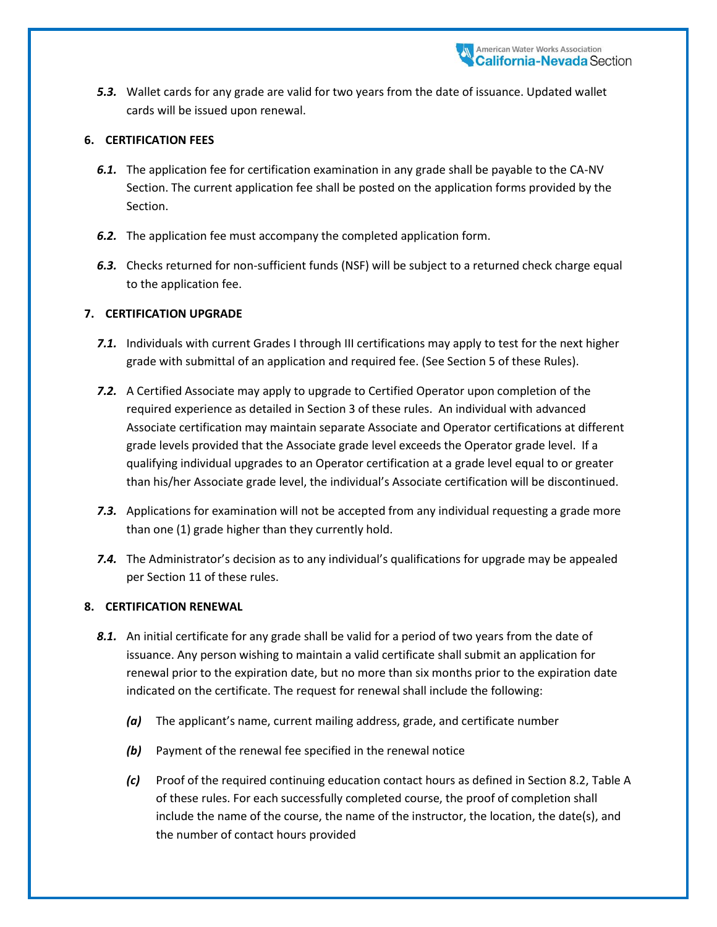*5.3.* Wallet cards for any grade are valid for two years from the date of issuance. Updated wallet cards will be issued upon renewal.

### **6. CERTIFICATION FEES**

- *6.1.* The application fee for certification examination in any grade shall be payable to the CA-NV Section. The current application fee shall be posted on the application forms provided by the Section.
- *6.2.* The application fee must accompany the completed application form.
- *6.3.* Checks returned for non-sufficient funds (NSF) will be subject to a returned check charge equal to the application fee.

### **7. CERTIFICATION UPGRADE**

- *7.1.* Individuals with current Grades I through III certifications may apply to test for the next higher grade with submittal of an application and required fee. (See Section 5 of these Rules).
- *7.2.* A Certified Associate may apply to upgrade to Certified Operator upon completion of the required experience as detailed in Section 3 of these rules. An individual with advanced Associate certification may maintain separate Associate and Operator certifications at different grade levels provided that the Associate grade level exceeds the Operator grade level. If a qualifying individual upgrades to an Operator certification at a grade level equal to or greater than his/her Associate grade level, the individual's Associate certification will be discontinued.
- *7.3.* Applications for examination will not be accepted from any individual requesting a grade more than one (1) grade higher than they currently hold.
- *7.4.* The Administrator's decision as to any individual's qualifications for upgrade may be appealed per Section 11 of these rules.

#### **8. CERTIFICATION RENEWAL**

- 8.1. An initial certificate for any grade shall be valid for a period of two years from the date of issuance. Any person wishing to maintain a valid certificate shall submit an application for renewal prior to the expiration date, but no more than six months prior to the expiration date indicated on the certificate. The request for renewal shall include the following:
	- *(a)* The applicant's name, current mailing address, grade, and certificate number
	- *(b)* Payment of the renewal fee specified in the renewal notice
	- *(c)* Proof of the required continuing education contact hours as defined in Section 8.2, Table A of these rules. For each successfully completed course, the proof of completion shall include the name of the course, the name of the instructor, the location, the date(s), and the number of contact hours provided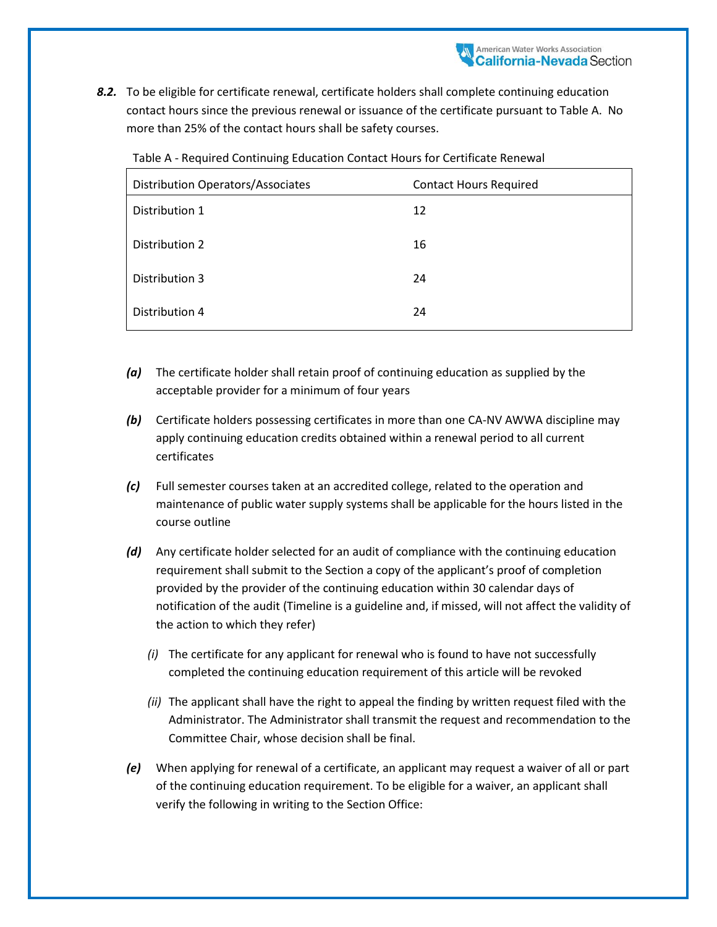*8.2.* To be eligible for certificate renewal, certificate holders shall complete continuing education contact hours since the previous renewal or issuance of the certificate pursuant to Table A. No more than 25% of the contact hours shall be safety courses.

| <b>Distribution Operators/Associates</b> | <b>Contact Hours Required</b> |
|------------------------------------------|-------------------------------|
| Distribution 1                           | 12                            |
| Distribution 2                           | 16                            |
| Distribution 3                           | 24                            |
| Distribution 4                           | 24                            |

Table A - Required Continuing Education Contact Hours for Certificate Renewal

- *(a)* The certificate holder shall retain proof of continuing education as supplied by the acceptable provider for a minimum of four years
- *(b)* Certificate holders possessing certificates in more than one CA-NV AWWA discipline may apply continuing education credits obtained within a renewal period to all current certificates
- *(c)* Full semester courses taken at an accredited college, related to the operation and maintenance of public water supply systems shall be applicable for the hours listed in the course outline
- *(d)* Any certificate holder selected for an audit of compliance with the continuing education requirement shall submit to the Section a copy of the applicant's proof of completion provided by the provider of the continuing education within 30 calendar days of notification of the audit (Timeline is a guideline and, if missed, will not affect the validity of the action to which they refer)
	- *(i)* The certificate for any applicant for renewal who is found to have not successfully completed the continuing education requirement of this article will be revoked
	- *(ii)* The applicant shall have the right to appeal the finding by written request filed with the Administrator. The Administrator shall transmit the request and recommendation to the Committee Chair, whose decision shall be final.
- *(e)* When applying for renewal of a certificate, an applicant may request a waiver of all or part of the continuing education requirement. To be eligible for a waiver, an applicant shall verify the following in writing to the Section Office: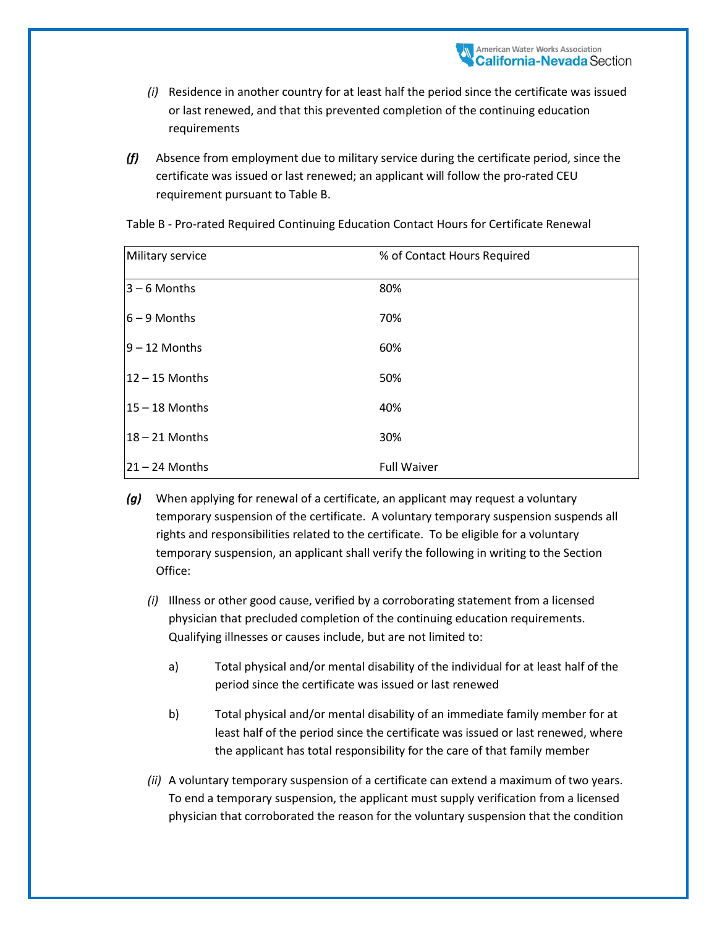- *(i)* Residence in another country for at least half the period since the certificate was issued or last renewed, and that this prevented completion of the continuing education requirements
- *(f)* Absence from employment due to military service during the certificate period, since the certificate was issued or last renewed; an applicant will follow the pro-rated CEU requirement pursuant to Table B.

| Military service | % of Contact Hours Required |
|------------------|-----------------------------|
| $3 - 6$ Months   | 80%                         |
| $6 - 9$ Months   | 70%                         |
| $9 - 12$ Months  | 60%                         |
| $12 - 15$ Months | 50%                         |
| $15 - 18$ Months | 40%                         |
| $18 - 21$ Months | 30%                         |
| $21 - 24$ Months | <b>Full Waiver</b>          |

Table B - Pro-rated Required Continuing Education Contact Hours for Certificate Renewal

- *(g)* When applying for renewal of a certificate, an applicant may request a voluntary temporary suspension of the certificate. A voluntary temporary suspension suspends all rights and responsibilities related to the certificate. To be eligible for a voluntary temporary suspension, an applicant shall verify the following in writing to the Section Office:
	- *(i)* Illness or other good cause, verified by a corroborating statement from a licensed physician that precluded completion of the continuing education requirements. Qualifying illnesses or causes include, but are not limited to:
		- a) Total physical and/or mental disability of the individual for at least half of the period since the certificate was issued or last renewed
		- b) Total physical and/or mental disability of an immediate family member for at least half of the period since the certificate was issued or last renewed, where the applicant has total responsibility for the care of that family member
	- *(ii)* A voluntary temporary suspension of a certificate can extend a maximum of two years. To end a temporary suspension, the applicant must supply verification from a licensed physician that corroborated the reason for the voluntary suspension that the condition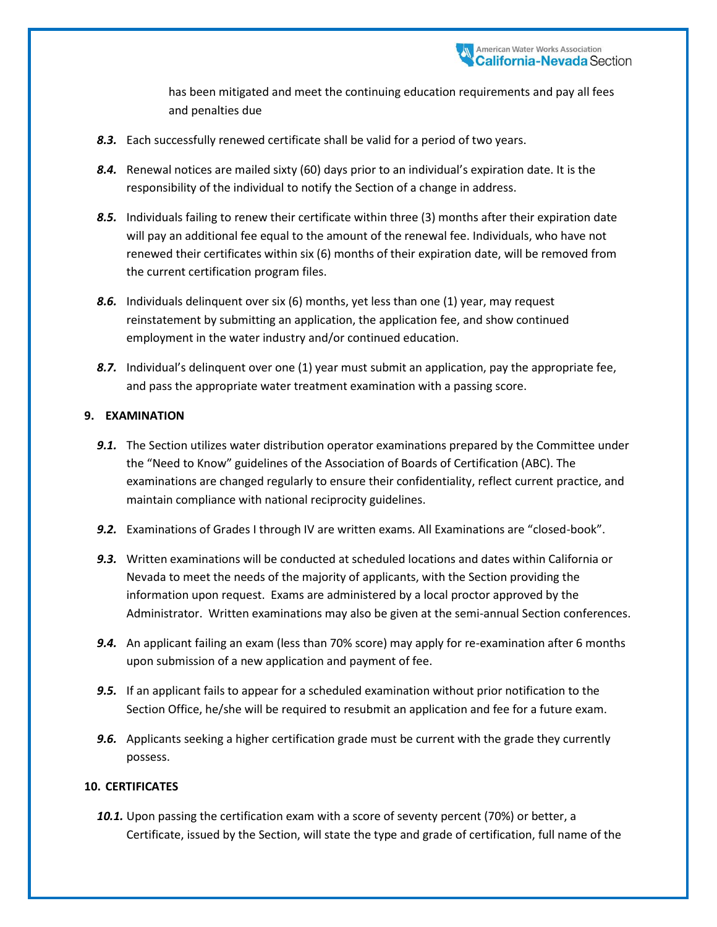has been mitigated and meet the continuing education requirements and pay all fees and penalties due

- *8.3.* Each successfully renewed certificate shall be valid for a period of two years.
- *8.4.* Renewal notices are mailed sixty (60) days prior to an individual's expiration date. It is the responsibility of the individual to notify the Section of a change in address.
- *8.5.* Individuals failing to renew their certificate within three (3) months after their expiration date will pay an additional fee equal to the amount of the renewal fee. Individuals, who have not renewed their certificates within six (6) months of their expiration date, will be removed from the current certification program files.
- **8.6.** Individuals delinquent over six (6) months, yet less than one (1) year, may request reinstatement by submitting an application, the application fee, and show continued employment in the water industry and/or continued education.
- **8.7.** Individual's delinquent over one (1) year must submit an application, pay the appropriate fee, and pass the appropriate water treatment examination with a passing score.

### **9. EXAMINATION**

- **9.1.** The Section utilizes water distribution operator examinations prepared by the Committee under the "Need to Know" guidelines of the Association of Boards of Certification (ABC). The examinations are changed regularly to ensure their confidentiality, reflect current practice, and maintain compliance with national reciprocity guidelines.
- *9.2.* Examinations of Grades I through IV are written exams. All Examinations are "closed-book".
- *9.3.* Written examinations will be conducted at scheduled locations and dates within California or Nevada to meet the needs of the majority of applicants, with the Section providing the information upon request. Exams are administered by a local proctor approved by the Administrator. Written examinations may also be given at the semi-annual Section conferences.
- *9.4.* An applicant failing an exam (less than 70% score) may apply for re-examination after 6 months upon submission of a new application and payment of fee.
- *9.5.* If an applicant fails to appear for a scheduled examination without prior notification to the Section Office, he/she will be required to resubmit an application and fee for a future exam.
- *9.6.* Applicants seeking a higher certification grade must be current with the grade they currently possess.

#### **10. CERTIFICATES**

*10.1.* Upon passing the certification exam with a score of seventy percent (70%) or better, a Certificate, issued by the Section, will state the type and grade of certification, full name of the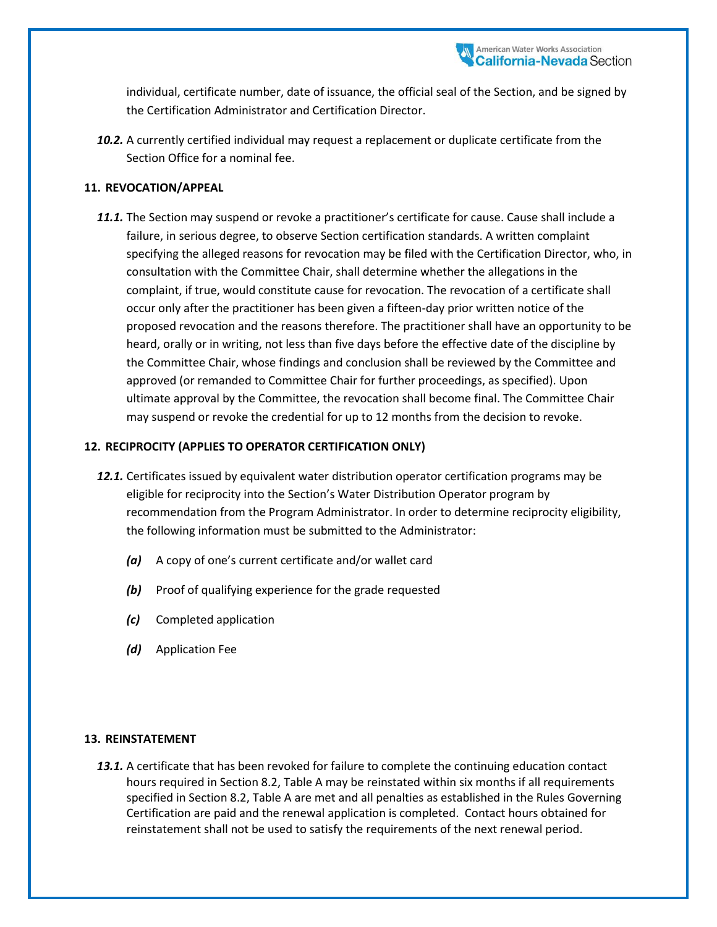individual, certificate number, date of issuance, the official seal of the Section, and be signed by the Certification Administrator and Certification Director.

*10.2.* A currently certified individual may request a replacement or duplicate certificate from the Section Office for a nominal fee.

#### **11. REVOCATION/APPEAL**

*11.1.* The Section may suspend or revoke a practitioner's certificate for cause. Cause shall include a failure, in serious degree, to observe Section certification standards. A written complaint specifying the alleged reasons for revocation may be filed with the Certification Director, who, in consultation with the Committee Chair, shall determine whether the allegations in the complaint, if true, would constitute cause for revocation. The revocation of a certificate shall occur only after the practitioner has been given a fifteen-day prior written notice of the proposed revocation and the reasons therefore. The practitioner shall have an opportunity to be heard, orally or in writing, not less than five days before the effective date of the discipline by the Committee Chair, whose findings and conclusion shall be reviewed by the Committee and approved (or remanded to Committee Chair for further proceedings, as specified). Upon ultimate approval by the Committee, the revocation shall become final. The Committee Chair may suspend or revoke the credential for up to 12 months from the decision to revoke.

### **12. RECIPROCITY (APPLIES TO OPERATOR CERTIFICATION ONLY)**

- *12.1.* Certificates issued by equivalent water distribution operator certification programs may be eligible for reciprocity into the Section's Water Distribution Operator program by recommendation from the Program Administrator. In order to determine reciprocity eligibility, the following information must be submitted to the Administrator:
	- *(a)* A copy of one's current certificate and/or wallet card
	- *(b)* Proof of qualifying experience for the grade requested
	- *(c)* Completed application
	- *(d)* Application Fee

#### **13. REINSTATEMENT**

13.1. A certificate that has been revoked for failure to complete the continuing education contact hours required in Section 8.2, Table A may be reinstated within six months if all requirements specified in Section 8.2, Table A are met and all penalties as established in the Rules Governing Certification are paid and the renewal application is completed. Contact hours obtained for reinstatement shall not be used to satisfy the requirements of the next renewal period.